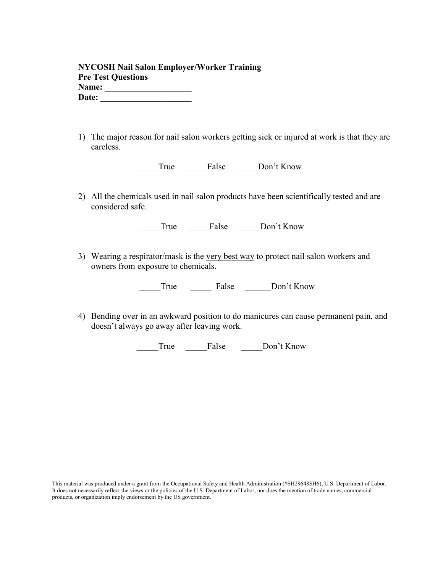| <b>NYCOSH Nail Salon Employer/Worker Training</b> |  |
|---------------------------------------------------|--|
| <b>Pre Test Questions</b>                         |  |
| Name:                                             |  |
| Date:                                             |  |

1) The major reason for nail salon workers getting sick or injured at work is that they are careless.

True False Don't Know

2) All the chemicals used in nail salon products have been scientifically tested and are considered safe.

| rue | Halse | Don't Know |
|-----|-------|------------|
|     |       |            |

3) Wearing a respirator/mask is the very best way to protect nail salon workers and owners from exposure to chemicals.

\_\_\_\_\_True \_\_\_\_\_ False \_\_\_\_\_\_Don't Know

4) Bending over in an awkward position to do manicures can cause permanent pain, and doesn't always go away after leaving work.

\_\_\_\_\_True \_\_\_\_\_False \_\_\_\_\_Don't Know

This material was produced under a grant from the Occupational Safety and Health Administration (#SH29648SH6), U.S. Department of Labor. It does not necessarily reflect the views or the policies of the U.S. Department of Labor, nor does the mention of trade names, commercial products, or organization imply endorsement by the US government.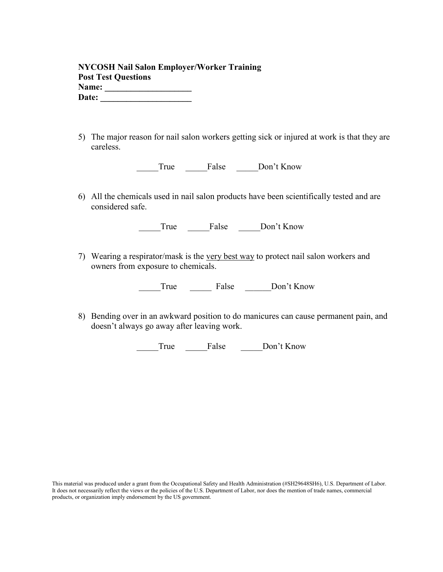| <b>NYCOSH Nail Salon Employer/Worker Training</b> |  |
|---------------------------------------------------|--|
| <b>Post Test Questions</b>                        |  |
| Name:                                             |  |
| Date:                                             |  |

5) The major reason for nail salon workers getting sick or injured at work is that they are careless.

True False Don't Know

6) All the chemicals used in nail salon products have been scientifically tested and are considered safe.

| rue | alse | Don't Know |
|-----|------|------------|
|     |      |            |

7) Wearing a respirator/mask is the very best way to protect nail salon workers and owners from exposure to chemicals.

\_\_\_\_\_True \_\_\_\_\_ False \_\_\_\_\_\_Don't Know

8) Bending over in an awkward position to do manicures can cause permanent pain, and doesn't always go away after leaving work.

\_\_\_\_\_True \_\_\_\_\_False \_\_\_\_\_Don't Know

This material was produced under a grant from the Occupational Safety and Health Administration (#SH29648SH6), U.S. Department of Labor. It does not necessarily reflect the views or the policies of the U.S. Department of Labor, nor does the mention of trade names, commercial products, or organization imply endorsement by the US government.